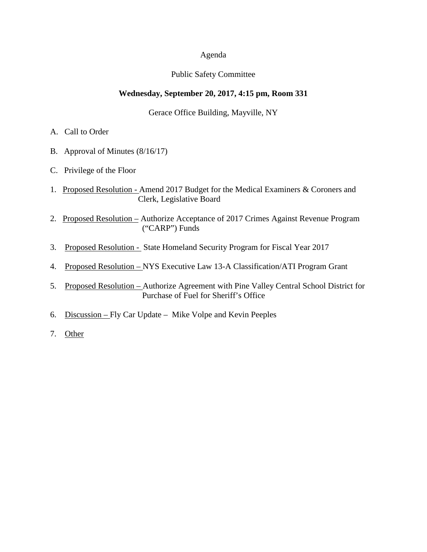## Agenda

## Public Safety Committee

## **Wednesday, September 20, 2017, 4:15 pm, Room 331**

Gerace Office Building, Mayville, NY

- A. Call to Order
- B. Approval of Minutes (8/16/17)
- C. Privilege of the Floor
- 1. Proposed Resolution Amend 2017 Budget for the Medical Examiners & Coroners and Clerk, Legislative Board
- 2. Proposed Resolution Authorize Acceptance of 2017 Crimes Against Revenue Program ("CARP") Funds
- 3. Proposed Resolution State Homeland Security Program for Fiscal Year 2017
- 4. Proposed Resolution NYS Executive Law 13-A Classification/ATI Program Grant
- 5. Proposed Resolution Authorize Agreement with Pine Valley Central School District for Purchase of Fuel for Sheriff's Office
- 6. Discussion Fly Car Update Mike Volpe and Kevin Peeples
- 7. Other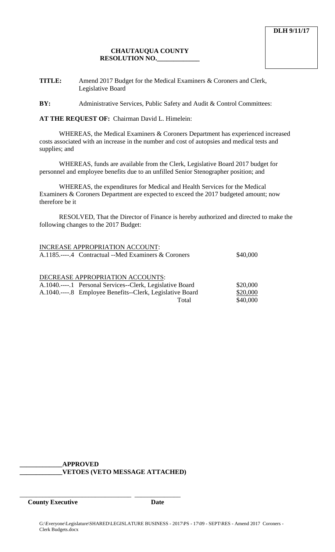# **CHAUTAUQUA COUNTY RESOLUTION NO.\_\_\_\_\_\_\_\_\_\_\_\_\_**

**TITLE:** Amend 2017 Budget for the Medical Examiners & Coroners and Clerk, Legislative Board

**BY:** Administrative Services, Public Safety and Audit & Control Committees:

**AT THE REQUEST OF:** Chairman David L. Himelein:

WHEREAS, the Medical Examiners & Coroners Department has experienced increased costs associated with an increase in the number and cost of autopsies and medical tests and supplies; and

WHEREAS, funds are available from the Clerk, Legislative Board 2017 budget for personnel and employee benefits due to an unfilled Senior Stenographer position; and

WHEREAS, the expenditures for Medical and Health Services for the Medical Examiners & Coroners Department are expected to exceed the 2017 budgeted amount; now therefore be it

RESOLVED, That the Director of Finance is hereby authorized and directed to make the following changes to the 2017 Budget:

| INCREASE APPROPRIATION ACCOUNT:                           |          |
|-----------------------------------------------------------|----------|
| A.1185.----.4 Contractual --Med Examiners & Coroners      | \$40,000 |
|                                                           |          |
| DECREASE APPROPRIATION ACCOUNTS:                          |          |
| A.1040.----.1 Personal Services--Clerk, Legislative Board | \$20,000 |
| A.1040.----.8 Employee Benefits--Clerk, Legislative Board | \$20,000 |
| Total                                                     | \$40,000 |
|                                                           |          |

**\_\_\_\_\_\_\_\_\_\_\_\_\_APPROVED \_\_\_\_\_\_\_\_\_\_\_\_\_VETOES (VETO MESSAGE ATTACHED)**

\_\_\_\_\_\_\_\_\_\_\_\_\_\_\_\_\_\_\_\_\_\_\_\_\_\_\_\_\_\_\_\_\_\_ \_\_\_\_\_\_\_\_\_\_\_\_\_\_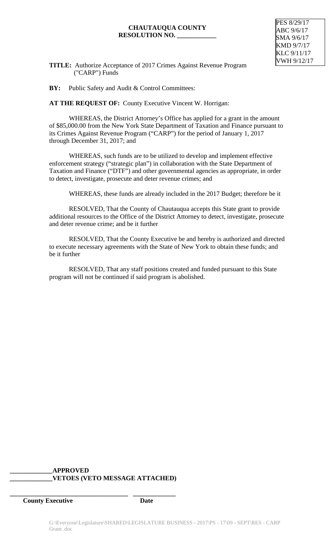## **CHAUTAUQUA COUNTY RESOLUTION NO. \_\_\_\_\_\_\_\_\_\_\_\_**



**TITLE:** Authorize Acceptance of 2017 Crimes Against Revenue Program ("CARP") Funds

**BY:** Public Safety and Audit & Control Committees:

**AT THE REQUEST OF:** County Executive Vincent W. Horrigan:

WHEREAS, the District Attorney's Office has applied for a grant in the amount of \$85,000.00 from the New York State Department of Taxation and Finance pursuant to its Crimes Against Revenue Program ("CARP") for the period of January 1, 2017 through December 31, 2017; and

WHEREAS, such funds are to be utilized to develop and implement effective enforcement strategy ("strategic plan") in collaboration with the State Department of Taxation and Finance ("DTF") and other governmental agencies as appropriate, in order to detect, investigate, prosecute and deter revenue crimes; and

WHEREAS, these funds are already included in the 2017 Budget; therefore be it

RESOLVED, That the County of Chautauqua accepts this State grant to provide additional resources to the Office of the District Attorney to detect, investigate, prosecute and deter revenue crime; and be it further

RESOLVED, That the County Executive be and hereby is authorized and directed to execute necessary agreements with the State of New York to obtain these funds; and be it further

RESOLVED, That any staff positions created and funded pursuant to this State program will not be continued if said program is abolished.

# **\_\_\_\_\_\_\_\_\_\_\_\_\_APPROVED \_\_\_\_\_\_\_\_\_\_\_\_\_VETOES (VETO MESSAGE ATTACHED)**

**\_\_\_\_\_\_\_\_\_\_\_\_\_\_\_\_\_\_\_\_\_\_\_\_\_\_\_\_\_\_\_\_\_\_\_\_ \_\_\_\_\_\_\_\_\_\_\_\_\_**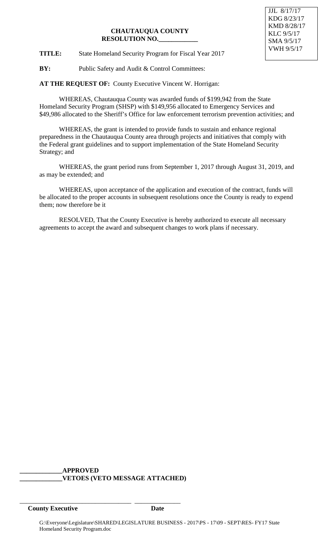# **CHAUTAUQUA COUNTY RESOLUTION NO.\_\_\_\_\_\_\_\_\_\_\_\_**

**TITLE:** State Homeland Security Program for Fiscal Year 2017

**BY:** Public Safety and Audit & Control Committees:

**AT THE REQUEST OF:** County Executive Vincent W. Horrigan:

WHEREAS, Chautauqua County was awarded funds of \$199,942 from the State Homeland Security Program (SHSP) with \$149,956 allocated to Emergency Services and \$49,986 allocated to the Sheriff's Office for law enforcement terrorism prevention activities; and

WHEREAS, the grant is intended to provide funds to sustain and enhance regional preparedness in the Chautauqua County area through projects and initiatives that comply with the Federal grant guidelines and to support implementation of the State Homeland Security Strategy; and

WHEREAS, the grant period runs from September 1, 2017 through August 31, 2019, and as may be extended; and

WHEREAS, upon acceptance of the application and execution of the contract, funds will be allocated to the proper accounts in subsequent resolutions once the County is ready to expend them; now therefore be it

RESOLVED, That the County Executive is hereby authorized to execute all necessary agreements to accept the award and subsequent changes to work plans if necessary.

#### **\_\_\_\_\_\_\_\_\_\_\_\_\_APPROVED \_\_\_\_\_\_\_\_\_\_\_\_\_VETOES (VETO MESSAGE ATTACHED)**

\_\_\_\_\_\_\_\_\_\_\_\_\_\_\_\_\_\_\_\_\_\_\_\_\_\_\_\_\_\_\_\_\_\_ \_\_\_\_\_\_\_\_\_\_\_\_\_\_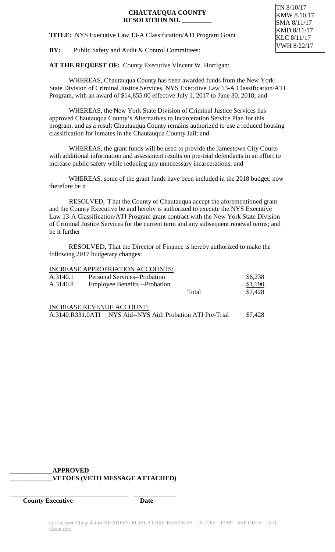TN 8/10/17 KMW 8.10.17 SMA 8/11/17 KMD 8/11/17 KLC 8/11/17 VWH 8/22/17

**TITLE:** NYS Executive Law 13-A Classification/ATI Program Grant

**BY:** Public Safety and Audit & Control Committees:

**AT THE REQUEST OF:** County Executive Vincent W. Horrigan:

WHEREAS, Chautauqua County has been awarded funds from the New York State Division of Criminal Justice Services, NYS Executive Law 13-A Classification/ATI Program, with an award of \$14,855.00 effective July 1, 2017 to June 30, 2018; and

WHEREAS, the New York State Division of Criminal Justice Services has approved Chautauqua County's Alternatives to Incarceration Service Plan for this program, and as a result Chautauqua County remains authorized to use a reduced housing classification for inmates in the Chautauqua County Jail; and

WHEREAS, the grant funds will be used to provide the Jamestown City Courts with additional information and assessment results on pre-trial defendants in an effort to increase public safety while reducing any unnecessary incarcerations; and

WHEREAS, some of the grant funds have been included in the 2018 budget; now therefore be it

RESOLVED, That the County of Chautauqua accept the aforementioned grant and the County Executive be and hereby is authorized to execute the NYS Executive Law 13-A Classification/ATI Program grant contract with the New York State Division of Criminal Justice Services for the current term and any subsequent renewal terms; and be it further

RESOLVED, That the Director of Finance is hereby authorized to make the following 2017 budgetary changes:

|          | <b>INCREASE APPROPRIATION ACCOUNTS:</b> |       |         |
|----------|-----------------------------------------|-------|---------|
| A.3140.1 | <b>Personal Services--Probation</b>     |       | \$6,238 |
| A.3140.8 | <b>Employee Benefits</b> --Probation    |       | \$1,190 |
|          |                                         | Total | \$7,428 |
|          | <b>INCREASE REVENUE ACCOUNT:</b>        |       |         |

A.3140.R331.0ATI NYS Aid--NYS Aid: Probation ATI Pre-Trial \$7,428

#### **\_\_\_\_\_\_\_\_\_\_\_\_\_APPROVED \_\_\_\_\_\_\_\_\_\_\_\_\_VETOES (VETO MESSAGE ATTACHED)**

**\_\_\_\_\_\_\_\_\_\_\_\_\_\_\_\_\_\_\_\_\_\_\_\_\_\_\_\_\_\_\_\_\_\_\_\_ \_\_\_\_\_\_\_\_\_\_\_\_\_**